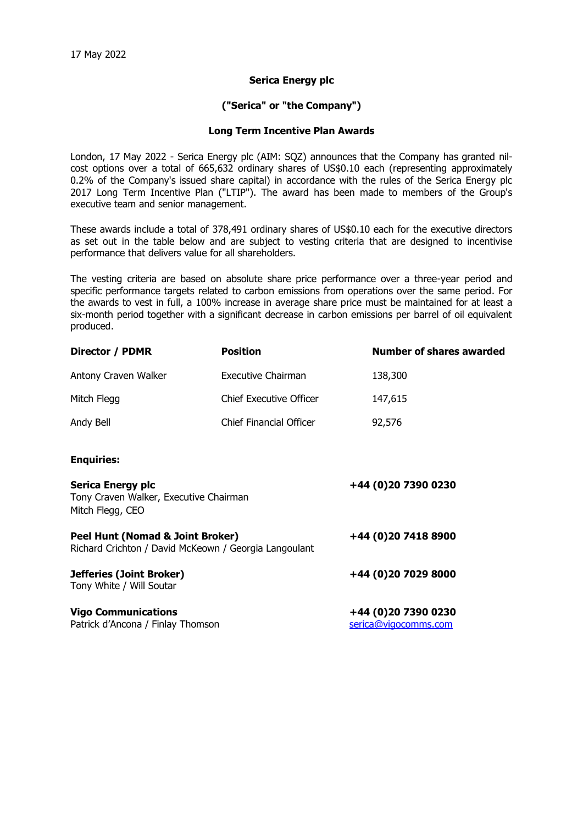## **Serica Energy plc**

## **("Serica" or "the Company")**

## **Long Term Incentive Plan Awards**

London, 17 May 2022 - Serica Energy plc (AIM: SQZ) announces that the Company has granted nilcost options over a total of 665,632 ordinary shares of US\$0.10 each (representing approximately 0.2% of the Company's issued share capital) in accordance with the rules of the Serica Energy plc 2017 Long Term Incentive Plan ("LTIP"). The award has been made to members of the Group's executive team and senior management.

These awards include a total of 378,491 ordinary shares of US\$0.10 each for the executive directors as set out in the table below and are subject to vesting criteria that are designed to incentivise performance that delivers value for all shareholders.

The vesting criteria are based on absolute share price performance over a three-year period and specific performance targets related to carbon emissions from operations over the same period. For the awards to vest in full, a 100% increase in average share price must be maintained for at least a six-month period together with a significant decrease in carbon emissions per barrel of oil equivalent produced.

| <b>Director / PDMR</b>                                                                    | <b>Position</b>                | <b>Number of shares awarded</b>             |
|-------------------------------------------------------------------------------------------|--------------------------------|---------------------------------------------|
| Antony Craven Walker                                                                      | Executive Chairman             | 138,300                                     |
| Mitch Flegg                                                                               | <b>Chief Executive Officer</b> | 147,615                                     |
| Andy Bell                                                                                 | Chief Financial Officer        | 92,576                                      |
| <b>Enquiries:</b>                                                                         |                                |                                             |
| <b>Serica Energy plc</b><br>Tony Craven Walker, Executive Chairman<br>Mitch Flegg, CEO    |                                | +44 (0)20 7390 0230                         |
| Peel Hunt (Nomad & Joint Broker)<br>Richard Crichton / David McKeown / Georgia Langoulant |                                | +44 (0)20 7418 8900                         |
| Jefferies (Joint Broker)<br>Tony White / Will Soutar                                      |                                | +44 (0)20 7029 8000                         |
| <b>Vigo Communications</b><br>Patrick d'Ancona / Finlay Thomson                           |                                | +44 (0)20 7390 0230<br>serica@vigocomms.com |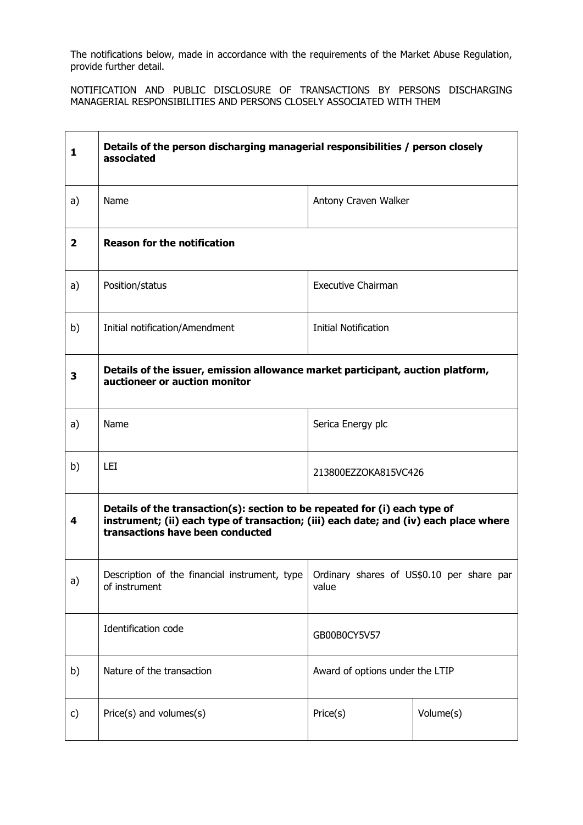The notifications below, made in accordance with the requirements of the Market Abuse Regulation, provide further detail.

NOTIFICATION AND PUBLIC DISCLOSURE OF TRANSACTIONS BY PERSONS DISCHARGING MANAGERIAL RESPONSIBILITIES AND PERSONS CLOSELY ASSOCIATED WITH THEM

| 1            | Details of the person discharging managerial responsibilities / person closely<br>associated                                                                                                            |                                                    |           |
|--------------|---------------------------------------------------------------------------------------------------------------------------------------------------------------------------------------------------------|----------------------------------------------------|-----------|
| a)           | Name                                                                                                                                                                                                    | Antony Craven Walker                               |           |
| $\mathbf{2}$ | <b>Reason for the notification</b>                                                                                                                                                                      |                                                    |           |
| a)           | Position/status                                                                                                                                                                                         | <b>Executive Chairman</b>                          |           |
| b)           | Initial notification/Amendment                                                                                                                                                                          | <b>Initial Notification</b>                        |           |
| 3            | Details of the issuer, emission allowance market participant, auction platform,<br>auctioneer or auction monitor                                                                                        |                                                    |           |
| a)           | Name                                                                                                                                                                                                    | Serica Energy plc                                  |           |
| b)           | LEI                                                                                                                                                                                                     | 213800EZZOKA815VC426                               |           |
| 4            | Details of the transaction(s): section to be repeated for (i) each type of<br>instrument; (ii) each type of transaction; (iii) each date; and (iv) each place where<br>transactions have been conducted |                                                    |           |
| a)           | Description of the financial instrument, type<br>of instrument                                                                                                                                          | Ordinary shares of US\$0.10 per share par<br>value |           |
|              | Identification code                                                                                                                                                                                     | GB00B0CY5V57                                       |           |
| b)           | Nature of the transaction                                                                                                                                                                               | Award of options under the LTIP                    |           |
| c)           | Price(s) and volumes(s)                                                                                                                                                                                 | Price(s)                                           | Volume(s) |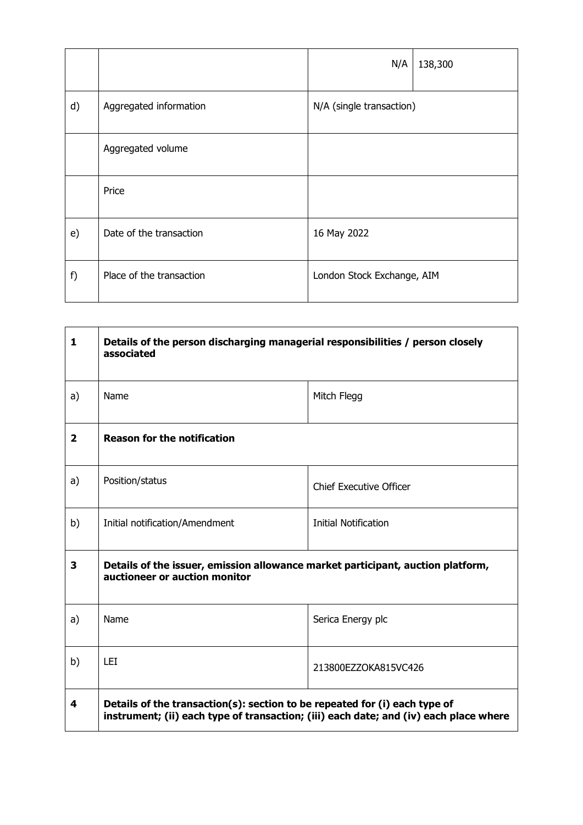|    |                          | N/A                        | 138,300 |
|----|--------------------------|----------------------------|---------|
| d) | Aggregated information   | N/A (single transaction)   |         |
|    | Aggregated volume        |                            |         |
|    | Price                    |                            |         |
| e) | Date of the transaction  | 16 May 2022                |         |
| f) | Place of the transaction | London Stock Exchange, AIM |         |

| $\mathbf{1}$   | Details of the person discharging managerial responsibilities / person closely<br>associated                                                                        |                                |  |
|----------------|---------------------------------------------------------------------------------------------------------------------------------------------------------------------|--------------------------------|--|
| a)             | Name                                                                                                                                                                | Mitch Flegg                    |  |
| $\overline{2}$ | <b>Reason for the notification</b>                                                                                                                                  |                                |  |
| a)             | Position/status                                                                                                                                                     | <b>Chief Executive Officer</b> |  |
| b)             | Initial notification/Amendment                                                                                                                                      | <b>Initial Notification</b>    |  |
| 3              | Details of the issuer, emission allowance market participant, auction platform,<br>auctioneer or auction monitor                                                    |                                |  |
| a)             | Name                                                                                                                                                                | Serica Energy plc              |  |
| b)             | <b>LEI</b>                                                                                                                                                          | 213800EZZOKA815VC426           |  |
| 4              | Details of the transaction(s): section to be repeated for (i) each type of<br>instrument; (ii) each type of transaction; (iii) each date; and (iv) each place where |                                |  |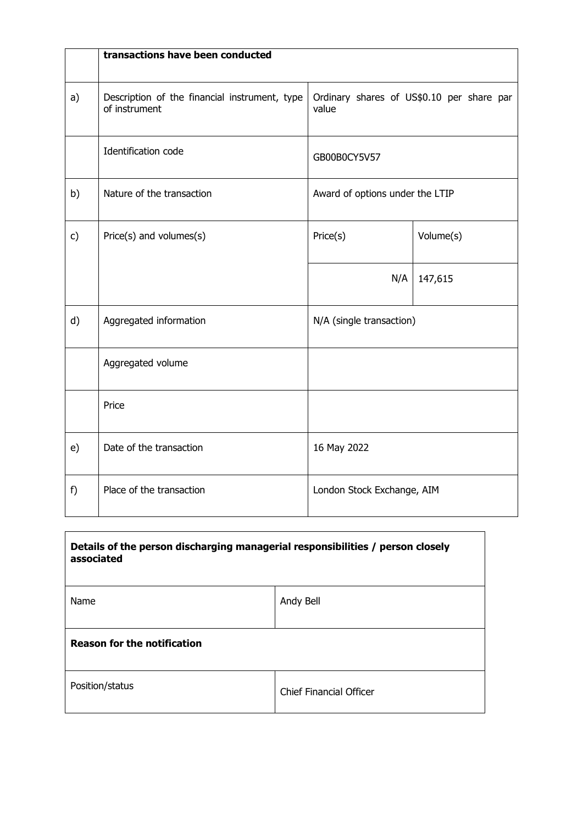|              | transactions have been conducted                               |                                                    |           |
|--------------|----------------------------------------------------------------|----------------------------------------------------|-----------|
| a)           | Description of the financial instrument, type<br>of instrument | Ordinary shares of US\$0.10 per share par<br>value |           |
|              | Identification code                                            | GB00B0CY5V57                                       |           |
| b)           | Nature of the transaction                                      | Award of options under the LTIP                    |           |
| $\mathsf{c}$ | Price(s) and volumes(s)                                        | Price(s)                                           | Volume(s) |
|              |                                                                | N/A                                                | 147,615   |
| d)           | Aggregated information                                         | N/A (single transaction)                           |           |
|              | Aggregated volume                                              |                                                    |           |
|              | Price                                                          |                                                    |           |
| e)           | Date of the transaction                                        | 16 May 2022                                        |           |
| f)           | Place of the transaction                                       | London Stock Exchange, AIM                         |           |

| Details of the person discharging managerial responsibilities / person closely<br>associated |           |  |  |
|----------------------------------------------------------------------------------------------|-----------|--|--|
| Name                                                                                         | Andy Bell |  |  |
| <b>Reason for the notification</b>                                                           |           |  |  |
| Position/status<br><b>Chief Financial Officer</b>                                            |           |  |  |